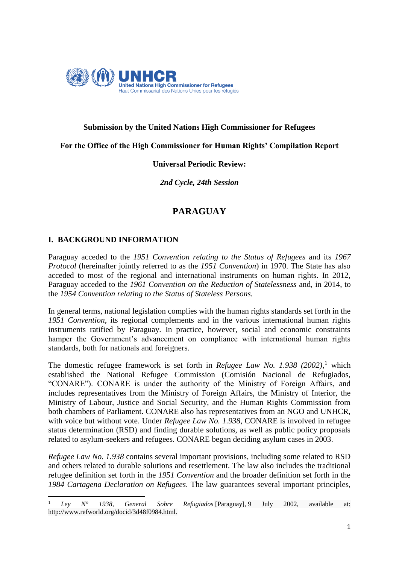

# **Submission by the United Nations High Commissioner for Refugees**

# **For the Office of the High Commissioner for Human Rights' Compilation Report**

# **Universal Periodic Review:**

*2nd Cycle, 24th Session*

# **PARAGUAY**

# **I. BACKGROUND INFORMATION**

Paraguay acceded to the *1951 Convention relating to the Status of Refugees* and its *1967 Protocol* (hereinafter jointly referred to as the *1951 Convention*) in 1970. The State has also acceded to most of the regional and international instruments on human rights. In 2012, Paraguay acceded to the *1961 Convention on the Reduction of Statelessness* and, in 2014, to the *1954 Convention relating to the Status of Stateless Persons.* 

In general terms, national legislation complies with the human rights standards set forth in the *1951 Convention*, its regional complements and in the various international human rights instruments ratified by Paraguay. In practice, however, social and economic constraints hamper the Government's advancement on compliance with international human rights standards, both for nationals and foreigners.

The domestic refugee framework is set forth in *Refugee Law No. 1.938 (2002),* <sup>1</sup> which established the National Refugee Commission (Comisión Nacional de Refugiados, "CONARE"). CONARE is under the authority of the Ministry of Foreign Affairs, and includes representatives from the Ministry of Foreign Affairs, the Ministry of Interior, the Ministry of Labour, Justice and Social Security, and the Human Rights Commission from both chambers of Parliament. CONARE also has representatives from an NGO and UNHCR, with voice but without vote. Under *Refugee Law No. 1.938*, CONARE is involved in refugee status determination (RSD) and finding durable solutions, as well as public policy proposals related to asylum-seekers and refugees. CONARE began deciding asylum cases in 2003.

*Refugee Law No. 1.938* contains several important provisions, including some related to RSD and others related to durable solutions and resettlement. The law also includes the traditional refugee definition set forth in the *1951 Convention* and the broader definition set forth in the *1984 Cartagena Declaration on Refugees*. The law guarantees several important principles,

 $\mathbf{1}$ <sup>1</sup> *Ley N° 1938, General Sobre Refugiados* [Paraguay], 9 July 2002, available at: [http://www.refworld.org/docid/3d48f0984.html.](http://www.refworld.org/docid/3d48f0984.html)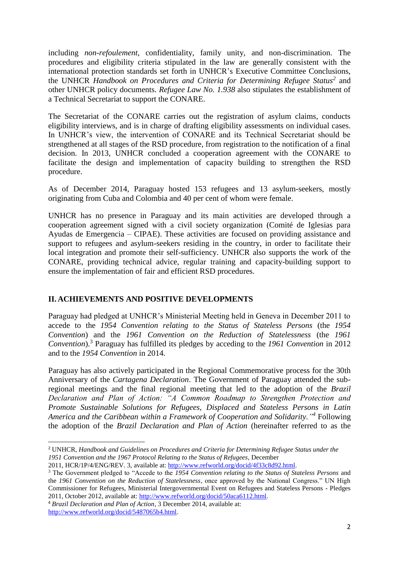including *non-refoulement*, confidentiality, family unity, and non-discrimination. The procedures and eligibility criteria stipulated in the law are generally consistent with the international protection standards set forth in UNHCR's Executive Committee Conclusions, the UNHCR *Handbook on Procedures and Criteria for Determining Refugee Status<sup>2</sup>* and other UNHCR policy documents. *Refugee Law No. 1.938* also stipulates the establishment of a Technical Secretariat to support the CONARE.

The Secretariat of the CONARE carries out the registration of asylum claims, conducts eligibility interviews, and is in charge of drafting eligibility assessments on individual cases. In UNHCR's view, the intervention of CONARE and its Technical Secretariat should be strengthened at all stages of the RSD procedure, from registration to the notification of a final decision. In 2013, UNHCR concluded a cooperation agreement with the CONARE to facilitate the design and implementation of capacity building to strengthen the RSD procedure.

As of December 2014, Paraguay hosted 153 refugees and 13 asylum-seekers, mostly originating from Cuba and Colombia and 40 per cent of whom were female.

UNHCR has no presence in Paraguay and its main activities are developed through a cooperation agreement signed with a civil society organization (Comité de Iglesias para Ayudas de Emergencia – CIPAE). These activities are focused on providing assistance and support to refugees and asylum-seekers residing in the country, in order to facilitate their local integration and promote their self-sufficiency. UNHCR also supports the work of the CONARE, providing technical advice, regular training and capacity-building support to ensure the implementation of fair and efficient RSD procedures.

# **II. ACHIEVEMENTS AND POSITIVE DEVELOPMENTS**

Paraguay had pledged at UNHCR's Ministerial Meeting held in Geneva in December 2011 to accede to the *1954 Convention relating to the Status of Stateless Persons* (the *1954 Convention*) and the *1961 Convention on the Reduction of Statelessness* (the *1961 Convention*). <sup>3</sup> Paraguay has fulfilled its pledges by acceding to the *1961 Convention* in 2012 and to the *1954 Convention* in 2014.

Paraguay has also actively participated in the Regional Commemorative process for the 30th Anniversary of the *Cartagena Declaration*. The Government of Paraguay attended the subregional meetings and the final regional meeting that led to the adoption of the *Brazil Declaration and Plan of Action: "A Common Roadmap to Strengthen Protection and Promote Sustainable Solutions for Refugees, Displaced and Stateless Persons in Latin America and the Caribbean within a Framework of Cooperation and Solidarity." <sup>4</sup>* Following the adoption of the *Brazil Declaration and Plan of Action* (hereinafter referred to as the

<sup>4</sup> *Brazil Declaration and Plan of Action*, 3 December 2014, available at: [http://www.refworld.org/docid/5487065b4.html.](http://www.refworld.org/docid/5487065b4.html)

**.** 

<sup>2</sup> UNHCR, *Handbook and Guidelines on Procedures and Criteria for Determining Refugee Status under the 1951 Convention and the 1967 Protocol Relating to the Status of Refugees*, December

<sup>2011,</sup> HCR/1P/4/ENG/REV. 3, available at: [http://www.refworld.org/docid/4f33c8d92.html.](http://www.refworld.org/docid/4f33c8d92.html)

<sup>&</sup>lt;sup>3</sup> The Government pledged to "Accede to the *1954 Convention relating to the Status of Stateless Persons* and the *1961 Convention on the Reduction of Statelessness*, once approved by the National Congress." UN High Commissioner for Refugees, Ministerial Intergovernmental Event on Refugees and Stateless Persons - Pledges 2011, October 2012, available at: [http://www.refworld.org/docid/50aca6112.html.](http://www.refworld.org/docid/50aca6112.html)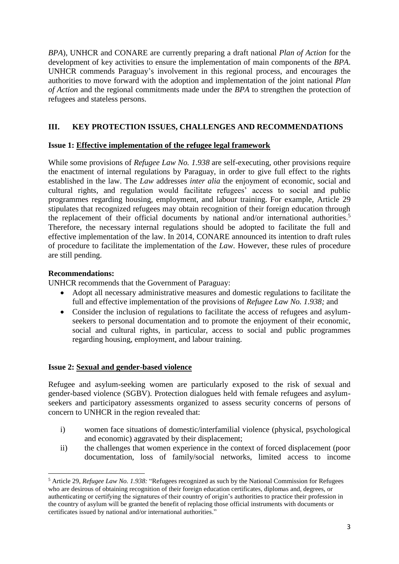*BPA*), UNHCR and CONARE are currently preparing a draft national *Plan of Action* for the development of key activities to ensure the implementation of main components of the *BPA*. UNHCR commends Paraguay's involvement in this regional process, and encourages the authorities to move forward with the adoption and implementation of the joint national *Plan of Action* and the regional commitments made under the *BPA* to strengthen the protection of refugees and stateless persons.

# **III. KEY PROTECTION ISSUES, CHALLENGES AND RECOMMENDATIONS**

# **Issue 1: Effective implementation of the refugee legal framework**

While some provisions of *Refugee Law No. 1.938* are self-executing, other provisions require the enactment of internal regulations by Paraguay, in order to give full effect to the rights established in the law. The *Law* addresses *inter alia* the enjoyment of economic, social and cultural rights, and regulation would facilitate refugees' access to social and public programmes regarding housing, employment, and labour training. For example, Article 29 stipulates that recognized refugees may obtain recognition of their foreign education through the replacement of their official documents by national and/or international authorities. 5 Therefore, the necessary internal regulations should be adopted to facilitate the full and effective implementation of the law. In 2014, CONARE announced its intention to draft rules of procedure to facilitate the implementation of the *Law*. However, these rules of procedure are still pending.

#### **Recommendations:**

**.** 

UNHCR recommends that the Government of Paraguay:

- Adopt all necessary administrative measures and domestic regulations to facilitate the full and effective implementation of the provisions of *Refugee Law No. 1.938;* and
- Consider the inclusion of regulations to facilitate the access of refugees and asylumseekers to personal documentation and to promote the enjoyment of their economic, social and cultural rights, in particular, access to social and public programmes regarding housing, employment, and labour training.

#### **Issue 2: Sexual and gender-based violence**

Refugee and asylum-seeking women are particularly exposed to the risk of sexual and gender-based violence (SGBV). Protection dialogues held with female refugees and asylumseekers and participatory assessments organized to assess security concerns of persons of concern to UNHCR in the region revealed that:

- i) women face situations of domestic/interfamilial violence (physical, psychological and economic) aggravated by their displacement;
- ii) the challenges that women experience in the context of forced displacement (poor documentation, loss of family/social networks, limited access to income

<sup>5</sup> Article 29, *Refugee Law No. 1.938:* "Refugees recognized as such by the National Commission for Refugees who are desirous of obtaining recognition of their foreign education certificates, diplomas and, degrees, or authenticating or certifying the signatures of their country of origin's authorities to practice their profession in the country of asylum will be granted the benefit of replacing those official instruments with documents or certificates issued by national and/or international authorities."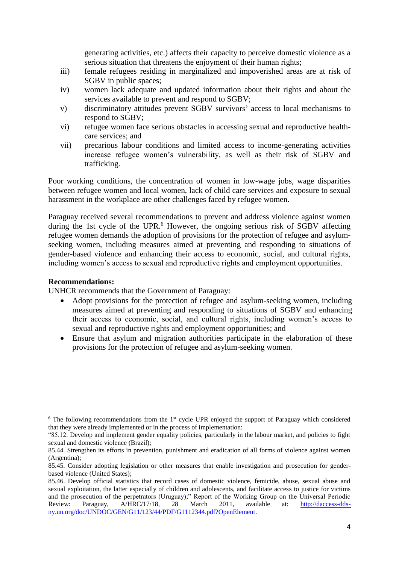generating activities, etc.) affects their capacity to perceive domestic violence as a serious situation that threatens the enjoyment of their human rights;

- iii) female refugees residing in marginalized and impoverished areas are at risk of SGBV in public spaces;
- iv) women lack adequate and updated information about their rights and about the services available to prevent and respond to SGBV;
- v) discriminatory attitudes prevent SGBV survivors' access to local mechanisms to respond to SGBV;
- vi) refugee women face serious obstacles in accessing sexual and reproductive healthcare services; and
- vii) precarious labour conditions and limited access to income-generating activities increase refugee women's vulnerability, as well as their risk of SGBV and trafficking.

Poor working conditions, the concentration of women in low-wage jobs, wage disparities between refugee women and local women, lack of child care services and exposure to sexual harassment in the workplace are other challenges faced by refugee women.

Paraguay received several recommendations to prevent and address violence against women during the 1st cycle of the UPR.<sup>6</sup> However, the ongoing serious risk of SGBV affecting refugee women demands the adoption of provisions for the protection of refugee and asylumseeking women, including measures aimed at preventing and responding to situations of gender-based violence and enhancing their access to economic, social, and cultural rights, including women's access to sexual and reproductive rights and employment opportunities.

#### **Recommendations:**

 $\overline{a}$ 

UNHCR recommends that the Government of Paraguay:

- Adopt provisions for the protection of refugee and asylum-seeking women, including measures aimed at preventing and responding to situations of SGBV and enhancing their access to economic, social, and cultural rights, including women's access to sexual and reproductive rights and employment opportunities; and
- Ensure that asylum and migration authorities participate in the elaboration of these provisions for the protection of refugee and asylum-seeking women.

 $6$  The following recommendations from the 1st cycle UPR enjoyed the support of Paraguay which considered that they were already implemented or in the process of implementation:

<sup>&</sup>quot;85.12. Develop and implement gender equality policies, particularly in the labour market, and policies to fight sexual and domestic violence (Brazil);

<sup>85.44.</sup> Strengthen its efforts in prevention, punishment and eradication of all forms of violence against women (Argentina);

<sup>85.45.</sup> Consider adopting legislation or other measures that enable investigation and prosecution for genderbased violence (United States);

<sup>85.46.</sup> Develop official statistics that record cases of domestic violence, femicide, abuse, sexual abuse and sexual exploitation, the latter especially of children and adolescents, and facilitate access to justice for victims and the prosecution of the perpetrators (Uruguay);" Report of the Working Group on the Universal Periodic Review: Paraguay, A/HRC/17/18, 28 March 2011, available at: [http://daccess-dds](http://daccess-dds-ny.un.org/doc/UNDOC/GEN/G11/123/44/PDF/G1112344.pdf?OpenElement)[ny.un.org/doc/UNDOC/GEN/G11/123/44/PDF/G1112344.pdf?OpenElement.](http://daccess-dds-ny.un.org/doc/UNDOC/GEN/G11/123/44/PDF/G1112344.pdf?OpenElement)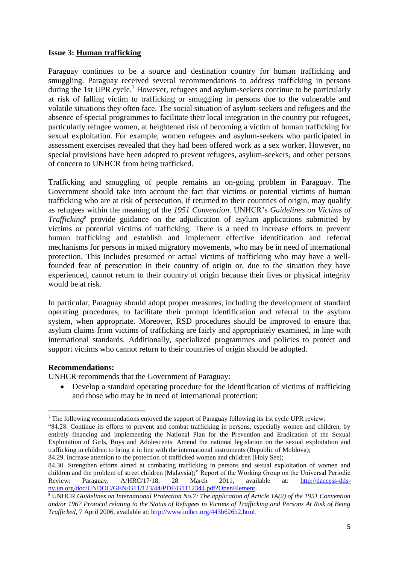#### **Issue 3: Human trafficking**

Paraguay continues to be a source and destination country for human trafficking and smuggling. Paraguay received several recommendations to address trafficking in persons during the 1st UPR cycle.<sup>7</sup> However, refugees and asylum-seekers continue to be particularly at risk of falling victim to trafficking or smuggling in persons due to the vulnerable and volatile situations they often face. The social situation of asylum-seekers and refugees and the absence of special programmes to facilitate their local integration in the country put refugees, particularly refugee women, at heightened risk of becoming a victim of human trafficking for sexual exploitation. For example, women refugees and asylum-seekers who participated in assessment exercises revealed that they had been offered work as a sex worker. However, no special provisions have been adopted to prevent refugees, asylum-seekers, and other persons of concern to UNHCR from being trafficked.

Trafficking and smuggling of people remains an on-going problem in Paraguay. The Government should take into account the fact that victims or potential victims of human trafficking who are at risk of persecution, if returned to their countries of origin, may qualify as refugees within the meaning of the *1951 Convention*. UNHCR's *Guidelines on Victims of Trafficking*<sup>8</sup> provide guidance on the adjudication of asylum applications submitted by victims or potential victims of trafficking. There is a need to increase efforts to prevent human trafficking and establish and implement effective identification and referral mechanisms for persons in mixed migratory movements, who may be in need of international protection. This includes presumed or actual victims of trafficking who may have a wellfounded fear of persecution in their country of origin or, due to the situation they have experienced, cannot return to their country of origin because their lives or physical integrity would be at risk.

In particular, Paraguay should adopt proper measures, including the development of standard operating procedures, to facilitate their prompt identification and referral to the asylum system, when appropriate. Moreover, RSD procedures should be improved to ensure that asylum claims from victims of trafficking are fairly and appropriately examined, in line with international standards. Additionally, specialized programmes and policies to protect and support victims who cannot return to their countries of origin should be adopted.

#### **Recommendations:**

**.** 

UNHCR recommends that the Government of Paraguay:

 Develop a standard operating procedure for the identification of victims of trafficking and those who may be in need of international protection;

<sup>7</sup> The following recommendations enjoyed the support of Paraguay following its 1st cycle UPR review:

<sup>&</sup>quot;84.28. Continue its efforts to prevent and combat trafficking in persons, especially women and children, by entirely financing and implementing the National Plan for the Prevention and Eradication of the Sexual Exploitation of Girls, Boys and Adolescents. Amend the national legislation on the sexual exploitation and trafficking in children to bring it in line with the international instruments (Republic of Moldova);

<sup>84.29.</sup> Increase attention to the protection of trafficked women and children (Holy See);

<sup>84.30.</sup> Strengthen efforts aimed at combating trafficking in persons and sexual exploitation of women and children and the problem of street children (Malaysia);" Report of the Working Group on the Universal Periodic Review: Paraguay, A/HRC/17/18, 28 March 2011, available at: [http://daccess-dds](http://daccess-dds-ny.un.org/doc/UNDOC/GEN/G11/123/44/PDF/G1112344.pdf?OpenElement)[ny.un.org/doc/UNDOC/GEN/G11/123/44/PDF/G1112344.pdf?OpenElement.](http://daccess-dds-ny.un.org/doc/UNDOC/GEN/G11/123/44/PDF/G1112344.pdf?OpenElement)

<sup>8</sup> UNHCR *Guidelines on International Protection No.7: The application of Article 1A(2) of the 1951 Convention and/or 1967 Protocol relating to the Status of Refugees to Victims of Trafficking and Persons At Risk of Being Trafficked*, 7 April 2006, available at: [http://www.unhcr.org/443b626b2.html.](http://www.unhcr.org/443b626b2.html)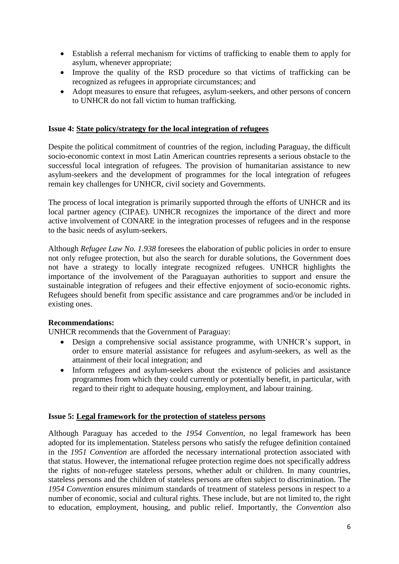- Establish a referral mechanism for victims of trafficking to enable them to apply for asylum, whenever appropriate;
- Improve the quality of the RSD procedure so that victims of trafficking can be recognized as refugees in appropriate circumstances; and
- Adopt measures to ensure that refugees, asylum-seekers, and other persons of concern to UNHCR do not fall victim to human trafficking.

#### **Issue 4: State policy/strategy for the local integration of refugees**

Despite the political commitment of countries of the region, including Paraguay, the difficult socio-economic context in most Latin American countries represents a serious obstacle to the successful local integration of refugees. The provision of humanitarian assistance to new asylum-seekers and the development of programmes for the local integration of refugees remain key challenges for UNHCR, civil society and Governments.

The process of local integration is primarily supported through the efforts of UNHCR and its local partner agency (CIPAE). UNHCR recognizes the importance of the direct and more active involvement of CONARE in the integration processes of refugees and in the response to the basic needs of asylum-seekers.

Although *Refugee Law No. 1.938* foresees the elaboration of public policies in order to ensure not only refugee protection, but also the search for durable solutions, the Government does not have a strategy to locally integrate recognized refugees. UNHCR highlights the importance of the involvement of the Paraguayan authorities to support and ensure the sustainable integration of refugees and their effective enjoyment of socio-economic rights. Refugees should benefit from specific assistance and care programmes and/or be included in existing ones.

#### **Recommendations:**

UNHCR recommends that the Government of Paraguay:

- Design a comprehensive social assistance programme, with UNHCR's support, in order to ensure material assistance for refugees and asylum-seekers, as well as the attainment of their local integration; and
- Inform refugees and asylum-seekers about the existence of policies and assistance programmes from which they could currently or potentially benefit, in particular, with regard to their right to adequate housing, employment, and labour training.

#### **Issue 5: Legal framework for the protection of stateless persons**

Although Paraguay has acceded to the *1954 Convention*, no legal framework has been adopted for its implementation. Stateless persons who satisfy the refugee definition contained in the *1951 Convention* are afforded the necessary international protection associated with that status. However, the international refugee protection regime does not specifically address the rights of non-refugee stateless persons, whether adult or children. In many countries, stateless persons and the children of stateless persons are often subject to discrimination. The *1954 Convention* ensures minimum standards of treatment of stateless persons in respect to a number of economic, social and cultural rights. These include, but are not limited to, the right to education, employment, housing, and public relief. Importantly, the *Convention* also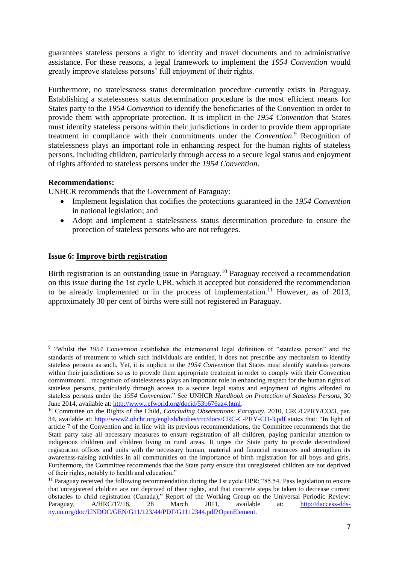guarantees stateless persons a right to identity and travel documents and to administrative assistance. For these reasons, a legal framework to implement the *1954 Convention* would greatly improve stateless persons' full enjoyment of their rights.

Furthermore, no statelessness status determination procedure currently exists in Paraguay. Establishing a statelessness status determination procedure is the most efficient means for States party to the *1954 Convention* to identify the beneficiaries of the Convention in order to provide them with appropriate protection. It is implicit in the *1954 Convention* that States must identify stateless persons within their jurisdictions in order to provide them appropriate treatment in compliance with their commitments under the *Convention*. <sup>9</sup> Recognition of statelessness plays an important role in enhancing respect for the human rights of stateless persons, including children, particularly through access to a secure legal status and enjoyment of rights afforded to stateless persons under the *1954 Convention*.

# **Recommendations:**

 $\overline{a}$ 

UNHCR recommends that the Government of Paraguay:

- Implement legislation that codifies the protections guaranteed in the *1954 Convention* in national legislation; and
- Adopt and implement a statelessness status determination procedure to ensure the protection of stateless persons who are not refugees.

#### **Issue 6: Improve birth registration**

Birth registration is an outstanding issue in Paraguay.<sup>10</sup> Paraguay received a recommendation on this issue during the 1st cycle UPR, which it accepted but considered the recommendation to be already implemented or in the process of implementation.<sup>11</sup> However, as of 2013, approximately 30 per cent of births were still not registered in Paraguay.

<sup>&</sup>lt;sup>9</sup> "Whilst the *1954 Convention* establishes the international legal definition of "stateless person" and the standards of treatment to which such individuals are entitled, it does not prescribe any mechanism to identify stateless persons as such. Yet, it is implicit in the *1954 Convention* that States must identify stateless persons within their jurisdictions so as to provide them appropriate treatment in order to comply with their Convention commitments…recognition of statelessness plays an important role in enhancing respect for the human rights of stateless persons, particularly through access to a secure legal status and enjoyment of rights afforded to stateless persons under the *1954 Convention*." See UNHCR *Handbook on Protection of Stateless Persons*, 30 June 2014, available at: [http://www.refworld.org/docid/53b676aa4.html.](http://www.refworld.org/docid/53b676aa4.html)

<sup>10</sup> Committee on the Rights of the Child, *Concluding Observations: Paraguay*, 2010, CRC/C/PRY/CO/3, par. 34, available at: <http://www2.ohchr.org/english/bodies/crc/docs/CRC-C-PRY-CO-3.pdf> states that: "In light of article 7 of the Convention and in line with its previous recommendations, the Committee recommends that the State party take all necessary measures to ensure registration of all children, paying particular attention to indigenous children and children living in rural areas. It urges the State party to provide decentralized registration offices and units with the necessary human, material and financial resources and strengthen its awareness-raising activities in all communities on the importance of birth registration for all boys and girls. Furthermore, the Committee recommends that the State party ensure that unregistered children are not deprived of their rights, notably to health and education."

<sup>11</sup> Paraguay received the following recommendation during the 1st cycle UPR: "85.54. Pass legislation to ensure that unregistered children are not deprived of their rights, and that concrete steps be taken to decrease current obstacles to child registration (Canada)," Report of the Working Group on the Universal Periodic Review: Paraguay, A/HRC/17/18, 28 March 2011, available at: [http://daccess-dds](http://daccess-dds-ny.un.org/doc/UNDOC/GEN/G11/123/44/PDF/G1112344.pdf?OpenElement)[ny.un.org/doc/UNDOC/GEN/G11/123/44/PDF/G1112344.pdf?OpenElement.](http://daccess-dds-ny.un.org/doc/UNDOC/GEN/G11/123/44/PDF/G1112344.pdf?OpenElement)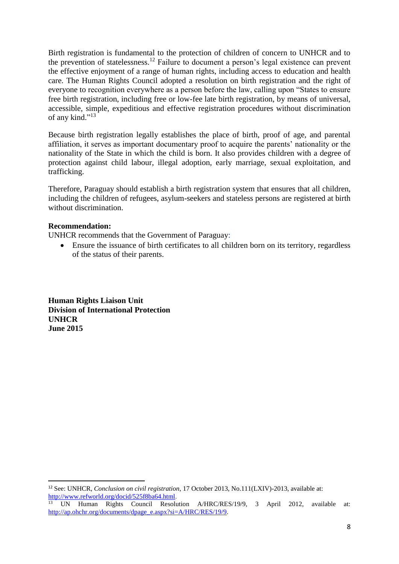Birth registration is fundamental to the protection of children of concern to UNHCR and to the prevention of statelessness.<sup>12</sup> Failure to document a person's legal existence can prevent the effective enjoyment of a range of human rights, including access to education and health care. The Human Rights Council adopted a resolution on birth registration and the right of everyone to recognition everywhere as a person before the law, calling upon "States to ensure free birth registration, including free or low-fee late birth registration, by means of universal, accessible, simple, expeditious and effective registration procedures without discrimination of any kind."<sup>13</sup>

Because birth registration legally establishes the place of birth, proof of age, and parental affiliation, it serves as important documentary proof to acquire the parents' nationality or the nationality of the State in which the child is born. It also provides children with a degree of protection against child labour, illegal adoption, early marriage, sexual exploitation, and trafficking.

Therefore, Paraguay should establish a birth registration system that ensures that all children, including the children of refugees, asylum-seekers and stateless persons are registered at birth without discrimination.

#### **Recommendation:**

**.** 

UNHCR recommends that the Government of Paraguay:

 Ensure the issuance of birth certificates to all children born on its territory, regardless of the status of their parents.

**Human Rights Liaison Unit Division of International Protection UNHCR June 2015**

<sup>12</sup> See: UNHCR, *Conclusion on civil registration*, 17 October 2013, No.111(LXIV)-2013, available at: [http://www.refworld.org/docid/525f8ba64.html.](http://www.refworld.org/docid/525f8ba64.html)

<sup>&</sup>lt;sup>13</sup> UN Human Rights Council Resolution A/HRC/RES/19/9, 3 April 2012, available at: [http://ap.ohchr.org/documents/dpage\\_e.aspx?si=A/HRC/RES/19/9.](http://ap.ohchr.org/documents/dpage_e.aspx?si=A/HRC/RES/19/9)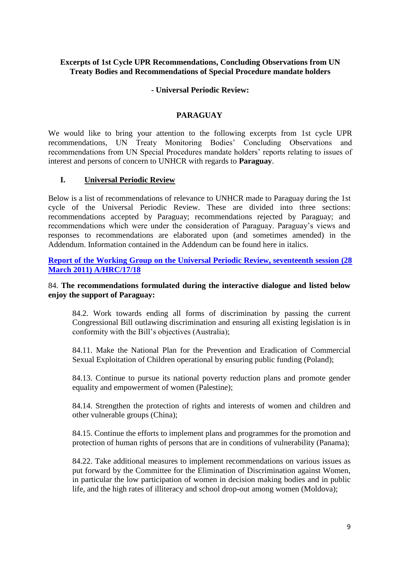### **Excerpts of 1st Cycle UPR Recommendations, Concluding Observations from UN Treaty Bodies and Recommendations of Special Procedure mandate holders**

### **- Universal Periodic Review:**

### **PARAGUAY**

We would like to bring your attention to the following excerpts from 1st cycle UPR recommendations, UN Treaty Monitoring Bodies' Concluding Observations and recommendations from UN Special Procedures mandate holders' reports relating to issues of interest and persons of concern to UNHCR with regards to **Paraguay**.

#### **I. Universal Periodic Review**

Below is a list of recommendations of relevance to UNHCR made to Paraguay during the 1st cycle of the Universal Periodic Review. These are divided into three sections: recommendations accepted by Paraguay; recommendations rejected by Paraguay; and recommendations which were under the consideration of Paraguay. Paraguay's views and responses to recommendations are elaborated upon (and sometimes amended) in the Addendum. Information contained in the Addendum can be found here in italics.

**[Report of the Working Group on the Universal Periodic Review, seventeenth session \(28](http://www.ohchr.org/EN/HRBodies/UPR/PAGES/PYSession10.aspx)  [March 2011\) A/HRC/17/18](http://www.ohchr.org/EN/HRBodies/UPR/PAGES/PYSession10.aspx)**

# 84. **The recommendations formulated during the interactive dialogue and listed below enjoy the support of Paraguay:**

84.2. Work towards ending all forms of discrimination by passing the current Congressional Bill outlawing discrimination and ensuring all existing legislation is in conformity with the Bill's objectives (Australia);

84.11. Make the National Plan for the Prevention and Eradication of Commercial Sexual Exploitation of Children operational by ensuring public funding (Poland);

84.13. Continue to pursue its national poverty reduction plans and promote gender equality and empowerment of women (Palestine);

84.14. Strengthen the protection of rights and interests of women and children and other vulnerable groups (China);

84.15. Continue the efforts to implement plans and programmes for the promotion and protection of human rights of persons that are in conditions of vulnerability (Panama);

84.22. Take additional measures to implement recommendations on various issues as put forward by the Committee for the Elimination of Discrimination against Women, in particular the low participation of women in decision making bodies and in public life, and the high rates of illiteracy and school drop-out among women (Moldova);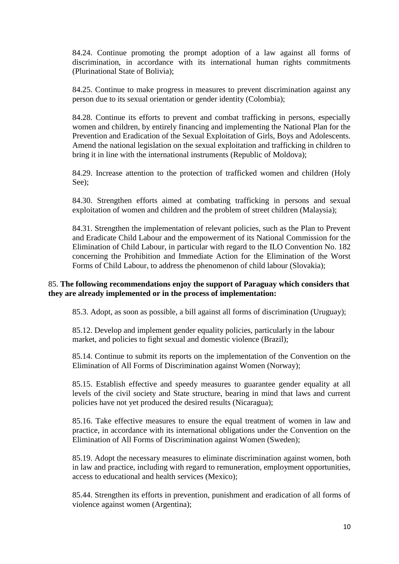84.24. Continue promoting the prompt adoption of a law against all forms of discrimination, in accordance with its international human rights commitments (Plurinational State of Bolivia);

84.25. Continue to make progress in measures to prevent discrimination against any person due to its sexual orientation or gender identity (Colombia);

84.28. Continue its efforts to prevent and combat trafficking in persons, especially women and children, by entirely financing and implementing the National Plan for the Prevention and Eradication of the Sexual Exploitation of Girls, Boys and Adolescents. Amend the national legislation on the sexual exploitation and trafficking in children to bring it in line with the international instruments (Republic of Moldova);

84.29. Increase attention to the protection of trafficked women and children (Holy See);

84.30. Strengthen efforts aimed at combating trafficking in persons and sexual exploitation of women and children and the problem of street children (Malaysia);

84.31. Strengthen the implementation of relevant policies, such as the Plan to Prevent and Eradicate Child Labour and the empowerment of its National Commission for the Elimination of Child Labour, in particular with regard to the ILO Convention No. 182 concerning the Prohibition and Immediate Action for the Elimination of the Worst Forms of Child Labour, to address the phenomenon of child labour (Slovakia);

#### 85. **The following recommendations enjoy the support of Paraguay which considers that they are already implemented or in the process of implementation:**

85.3. Adopt, as soon as possible, a bill against all forms of discrimination (Uruguay);

85.12. Develop and implement gender equality policies, particularly in the labour market, and policies to fight sexual and domestic violence (Brazil);

85.14. Continue to submit its reports on the implementation of the Convention on the Elimination of All Forms of Discrimination against Women (Norway);

85.15. Establish effective and speedy measures to guarantee gender equality at all levels of the civil society and State structure, bearing in mind that laws and current policies have not yet produced the desired results (Nicaragua);

85.16. Take effective measures to ensure the equal treatment of women in law and practice, in accordance with its international obligations under the Convention on the Elimination of All Forms of Discrimination against Women (Sweden);

85.19. Adopt the necessary measures to eliminate discrimination against women, both in law and practice, including with regard to remuneration, employment opportunities, access to educational and health services (Mexico);

85.44. Strengthen its efforts in prevention, punishment and eradication of all forms of violence against women (Argentina);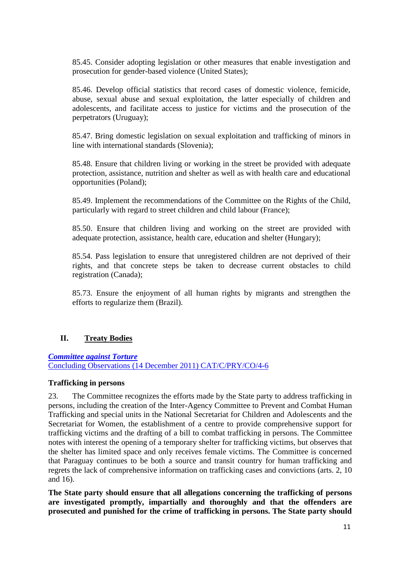85.45. Consider adopting legislation or other measures that enable investigation and prosecution for gender-based violence (United States);

85.46. Develop official statistics that record cases of domestic violence, femicide, abuse, sexual abuse and sexual exploitation, the latter especially of children and adolescents, and facilitate access to justice for victims and the prosecution of the perpetrators (Uruguay);

85.47. Bring domestic legislation on sexual exploitation and trafficking of minors in line with international standards (Slovenia);

85.48. Ensure that children living or working in the street be provided with adequate protection, assistance, nutrition and shelter as well as with health care and educational opportunities (Poland);

85.49. Implement the recommendations of the Committee on the Rights of the Child, particularly with regard to street children and child labour (France);

85.50. Ensure that children living and working on the street are provided with adequate protection, assistance, health care, education and shelter (Hungary);

85.54. Pass legislation to ensure that unregistered children are not deprived of their rights, and that concrete steps be taken to decrease current obstacles to child registration (Canada);

85.73. Ensure the enjoyment of all human rights by migrants and strengthen the efforts to regularize them (Brazil).

# **II. Treaty Bodies**

# *[Committee against Torture](http://tbinternet.ohchr.org/_layouts/treatybodyexternal/Download.aspx?symbolno=CAT/C/PRY/CO/4-6&Lang=En)*

[Concluding Observations \(14 December 2011\) CAT/C/PRY/CO/4-6](http://tbinternet.ohchr.org/_layouts/treatybodyexternal/Download.aspx?symbolno=CAT/C/PRY/CO/4-6&Lang=En)

#### **Trafficking in persons**

23. The Committee recognizes the efforts made by the State party to address trafficking in persons, including the creation of the Inter-Agency Committee to Prevent and Combat Human Trafficking and special units in the National Secretariat for Children and Adolescents and the Secretariat for Women, the establishment of a centre to provide comprehensive support for trafficking victims and the drafting of a bill to combat trafficking in persons. The Committee notes with interest the opening of a temporary shelter for trafficking victims, but observes that the shelter has limited space and only receives female victims. The Committee is concerned that Paraguay continues to be both a source and transit country for human trafficking and regrets the lack of comprehensive information on trafficking cases and convictions (arts. 2, 10 and 16).

**The State party should ensure that all allegations concerning the trafficking of persons are investigated promptly, impartially and thoroughly and that the offenders are prosecuted and punished for the crime of trafficking in persons. The State party should**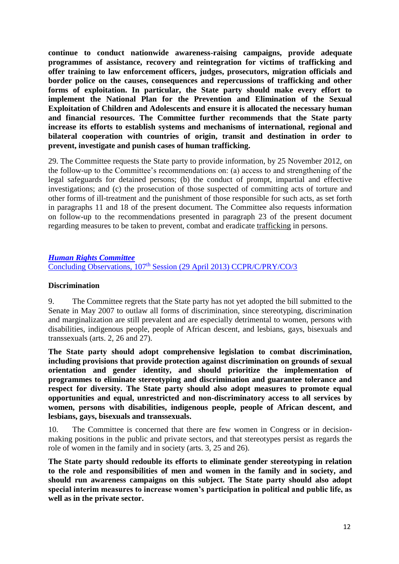**continue to conduct nationwide awareness-raising campaigns, provide adequate programmes of assistance, recovery and reintegration for victims of trafficking and offer training to law enforcement officers, judges, prosecutors, migration officials and border police on the causes, consequences and repercussions of trafficking and other forms of exploitation. In particular, the State party should make every effort to implement the National Plan for the Prevention and Elimination of the Sexual Exploitation of Children and Adolescents and ensure it is allocated the necessary human and financial resources. The Committee further recommends that the State party increase its efforts to establish systems and mechanisms of international, regional and bilateral cooperation with countries of origin, transit and destination in order to prevent, investigate and punish cases of human trafficking.**

29. The Committee requests the State party to provide information, by 25 November 2012, on the follow-up to the Committee's recommendations on: (a) access to and strengthening of the legal safeguards for detained persons; (b) the conduct of prompt, impartial and effective investigations; and (c) the prosecution of those suspected of committing acts of torture and other forms of ill-treatment and the punishment of those responsible for such acts, as set forth in paragraphs 11 and 18 of the present document. The Committee also requests information on follow-up to the recommendations presented in paragraph 23 of the present document regarding measures to be taken to prevent, combat and eradicate trafficking in persons.

*[Human Rights Committee](http://tbinternet.ohchr.org/_layouts/treatybodyexternal/Download.aspx?symbolno=CCPR/C/PRY/CO/3&Lang=En)* Concluding Observations, 107<sup>th</sup> [Session \(29 April 2013\) CCPR/C/PRY/CO/3](http://tbinternet.ohchr.org/_layouts/treatybodyexternal/Download.aspx?symbolno=CCPR/C/PRY/CO/3&Lang=En)

### **Discrimination**

9. The Committee regrets that the State party has not yet adopted the bill submitted to the Senate in May 2007 to outlaw all forms of discrimination, since stereotyping, discrimination and marginalization are still prevalent and are especially detrimental to women, persons with disabilities, indigenous people, people of African descent, and lesbians, gays, bisexuals and transsexuals (arts. 2, 26 and 27).

**The State party should adopt comprehensive legislation to combat discrimination, including provisions that provide protection against discrimination on grounds of sexual orientation and gender identity, and should prioritize the implementation of programmes to eliminate stereotyping and discrimination and guarantee tolerance and respect for diversity. The State party should also adopt measures to promote equal opportunities and equal, unrestricted and non-discriminatory access to all services by women, persons with disabilities, indigenous people, people of African descent, and lesbians, gays, bisexuals and transsexuals.**

10. The Committee is concerned that there are few women in Congress or in decisionmaking positions in the public and private sectors, and that stereotypes persist as regards the role of women in the family and in society (arts. 3, 25 and 26).

**The State party should redouble its efforts to eliminate gender stereotyping in relation to the role and responsibilities of men and women in the family and in society, and should run awareness campaigns on this subject. The State party should also adopt special interim measures to increase women's participation in political and public life, as well as in the private sector.**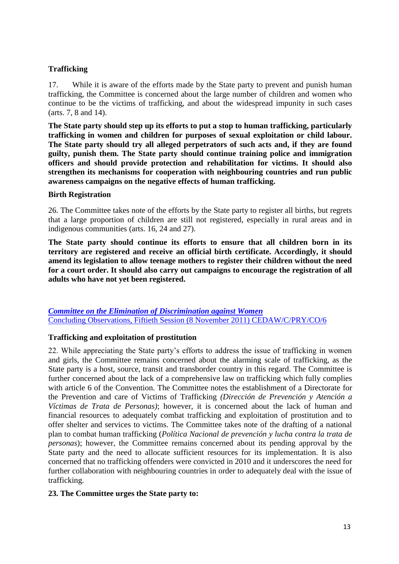# **Trafficking**

17. While it is aware of the efforts made by the State party to prevent and punish human trafficking, the Committee is concerned about the large number of children and women who continue to be the victims of trafficking, and about the widespread impunity in such cases (arts. 7, 8 and 14).

**The State party should step up its efforts to put a stop to human trafficking, particularly trafficking in women and children for purposes of sexual exploitation or child labour. The State party should try all alleged perpetrators of such acts and, if they are found guilty, punish them. The State party should continue training police and immigration officers and should provide protection and rehabilitation for victims. It should also strengthen its mechanisms for cooperation with neighbouring countries and run public awareness campaigns on the negative effects of human trafficking.** 

#### **Birth Registration**

26. The Committee takes note of the efforts by the State party to register all births, but regrets that a large proportion of children are still not registered, especially in rural areas and in indigenous communities (arts. 16, 24 and 27).

**The State party should continue its efforts to ensure that all children born in its territory are registered and receive an official birth certificate. Accordingly, it should amend its legislation to allow teenage mothers to register their children without the need for a court order. It should also carry out campaigns to encourage the registration of all adults who have not yet been registered.**

*[Committee on the Elimination of Discrimination against Women](http://tbinternet.ohchr.org/_layouts/treatybodyexternal/Download.aspx?symbolno=CEDAW/C/PRY/CO/6&Lang=En)* [Concluding Observations, Fiftieth Session \(8 November 2011\) CEDAW/C/PRY/CO/6](http://tbinternet.ohchr.org/_layouts/treatybodyexternal/Download.aspx?symbolno=CEDAW/C/PRY/CO/6&Lang=En)

# **Trafficking and exploitation of prostitution**

22. While appreciating the State party's efforts to address the issue of trafficking in women and girls, the Committee remains concerned about the alarming scale of trafficking, as the State party is a host, source, transit and transborder country in this regard. The Committee is further concerned about the lack of a comprehensive law on trafficking which fully complies with article 6 of the Convention. The Committee notes the establishment of a Directorate for the Prevention and care of Victims of Trafficking *(Dirección de Prevención y Atención a Víctimas de Trata de Personas)*; however, it is concerned about the lack of human and financial resources to adequately combat trafficking and exploitation of prostitution and to offer shelter and services to victims. The Committee takes note of the drafting of a national plan to combat human trafficking (*Política Nacional de prevención y lucha contra la trata de personas*); however, the Committee remains concerned about its pending approval by the State party and the need to allocate sufficient resources for its implementation. It is also concerned that no trafficking offenders were convicted in 2010 and it underscores the need for further collaboration with neighbouring countries in order to adequately deal with the issue of trafficking.

#### **23. The Committee urges the State party to:**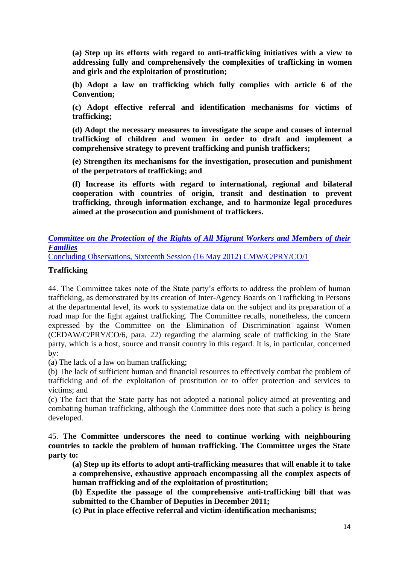**(a) Step up its efforts with regard to anti-trafficking initiatives with a view to addressing fully and comprehensively the complexities of trafficking in women and girls and the exploitation of prostitution;**

**(b) Adopt a law on trafficking which fully complies with article 6 of the Convention;**

**(c) Adopt effective referral and identification mechanisms for victims of trafficking;**

**(d) Adopt the necessary measures to investigate the scope and causes of internal trafficking of children and women in order to draft and implement a comprehensive strategy to prevent trafficking and punish traffickers;**

**(e) Strengthen its mechanisms for the investigation, prosecution and punishment of the perpetrators of trafficking; and**

**(f) Increase its efforts with regard to international, regional and bilateral cooperation with countries of origin, transit and destination to prevent trafficking, through information exchange, and to harmonize legal procedures aimed at the prosecution and punishment of traffickers.**

# *[Committee on the Protection of the Rights of All Migrant Workers and Members of their](http://tbinternet.ohchr.org/_layouts/treatybodyexternal/Download.aspx?symbolno=CMW/C/PRY/CO/1&Lang=En)  [Families](http://tbinternet.ohchr.org/_layouts/treatybodyexternal/Download.aspx?symbolno=CMW/C/PRY/CO/1&Lang=En)*

[Concluding Observations, Sixteenth Session \(16 May 2012\) CMW/C/PRY/CO/1](http://tbinternet.ohchr.org/_layouts/treatybodyexternal/Download.aspx?symbolno=CMW/C/PRY/CO/1&Lang=En)

#### **Trafficking**

44. The Committee takes note of the State party's efforts to address the problem of human trafficking, as demonstrated by its creation of Inter-Agency Boards on Trafficking in Persons at the departmental level, its work to systematize data on the subject and its preparation of a road map for the fight against trafficking. The Committee recalls, nonetheless, the concern expressed by the Committee on the Elimination of Discrimination against Women (CEDAW/C/PRY/CO/6, para. 22) regarding the alarming scale of trafficking in the State party, which is a host, source and transit country in this regard. It is, in particular, concerned by:

(a) The lack of a law on human trafficking;

(b) The lack of sufficient human and financial resources to effectively combat the problem of trafficking and of the exploitation of prostitution or to offer protection and services to victims; and

(c) The fact that the State party has not adopted a national policy aimed at preventing and combating human trafficking, although the Committee does note that such a policy is being developed.

45. **The Committee underscores the need to continue working with neighbouring countries to tackle the problem of human trafficking. The Committee urges the State party to:**

**(a) Step up its efforts to adopt anti-trafficking measures that will enable it to take a comprehensive, exhaustive approach encompassing all the complex aspects of human trafficking and of the exploitation of prostitution;**

**(b) Expedite the passage of the comprehensive anti-trafficking bill that was submitted to the Chamber of Deputies in December 2011;**

**(c) Put in place effective referral and victim-identification mechanisms;**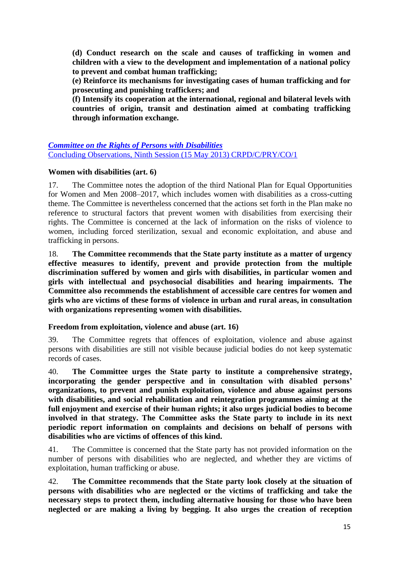**(d) Conduct research on the scale and causes of trafficking in women and children with a view to the development and implementation of a national policy to prevent and combat human trafficking;**

**(e) Reinforce its mechanisms for investigating cases of human trafficking and for prosecuting and punishing traffickers; and**

**(f) Intensify its cooperation at the international, regional and bilateral levels with countries of origin, transit and destination aimed at combating trafficking through information exchange.**

# *[Committee on the Rights of Persons with Disabilities](http://tbinternet.ohchr.org/_layouts/treatybodyexternal/Download.aspx?symbolno=CRPD/C/PRY/CO/1&Lang=En)* [Concluding Observations, Ninth Session \(15 May 2013\) CRPD/C/PRY/CO/1](http://tbinternet.ohchr.org/_layouts/treatybodyexternal/Download.aspx?symbolno=CRPD/C/PRY/CO/1&Lang=En)

# **Women with disabilities (art. 6)**

17. The Committee notes the adoption of the third National Plan for Equal Opportunities for Women and Men 2008–2017, which includes women with disabilities as a cross-cutting theme. The Committee is nevertheless concerned that the actions set forth in the Plan make no reference to structural factors that prevent women with disabilities from exercising their rights. The Committee is concerned at the lack of information on the risks of violence to women, including forced sterilization, sexual and economic exploitation, and abuse and trafficking in persons.

18. **The Committee recommends that the State party institute as a matter of urgency effective measures to identify, prevent and provide protection from the multiple discrimination suffered by women and girls with disabilities, in particular women and girls with intellectual and psychosocial disabilities and hearing impairments. The Committee also recommends the establishment of accessible care centres for women and girls who are victims of these forms of violence in urban and rural areas, in consultation with organizations representing women with disabilities.**

# **Freedom from exploitation, violence and abuse (art. 16)**

39. The Committee regrets that offences of exploitation, violence and abuse against persons with disabilities are still not visible because judicial bodies do not keep systematic records of cases.

40. **The Committee urges the State party to institute a comprehensive strategy, incorporating the gender perspective and in consultation with disabled persons' organizations, to prevent and punish exploitation, violence and abuse against persons with disabilities, and social rehabilitation and reintegration programmes aiming at the full enjoyment and exercise of their human rights; it also urges judicial bodies to become involved in that strategy. The Committee asks the State party to include in its next periodic report information on complaints and decisions on behalf of persons with disabilities who are victims of offences of this kind.**

41. The Committee is concerned that the State party has not provided information on the number of persons with disabilities who are neglected, and whether they are victims of exploitation, human trafficking or abuse.

42. **The Committee recommends that the State party look closely at the situation of persons with disabilities who are neglected or the victims of trafficking and take the necessary steps to protect them, including alternative housing for those who have been neglected or are making a living by begging. It also urges the creation of reception**